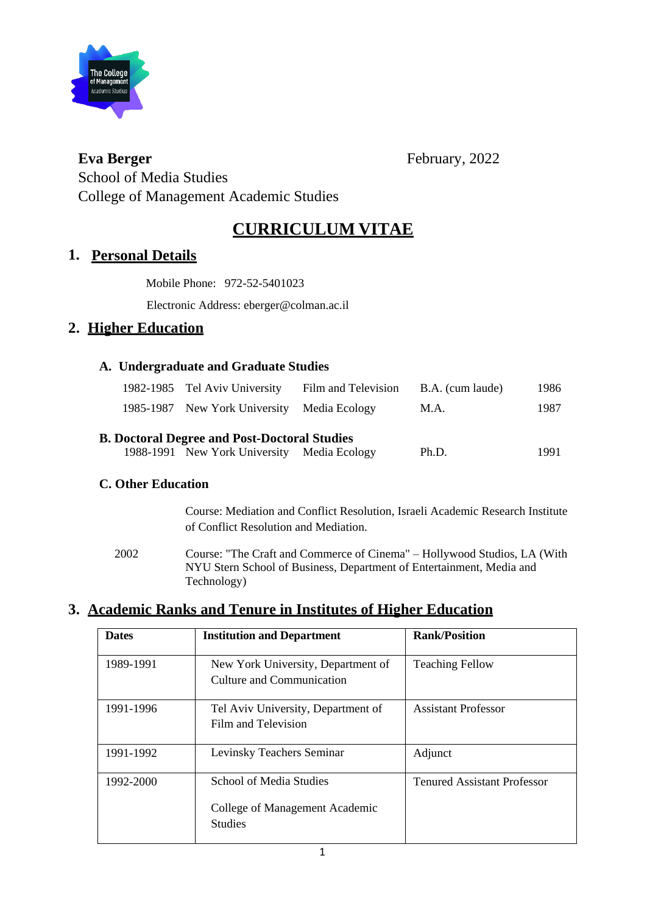

**Eva Berger** February, 2022

School of Media Studies College of Management Academic Studies

# **CURRICULUM VITAE**

## **1. Personal Details**

Mobile Phone: 972-52-5401023

Electronic Address: eberger@colman.ac.il

## **2. Higher Education**

## **A. Undergraduate and Graduate Studies**

| 1982-1985 Tel Aviv University Film and Television B.A. (cum laude) |      | 1986 |
|--------------------------------------------------------------------|------|------|
| 1985-1987 New York University Media Ecology                        | M.A. | 1987 |

### **B. Doctoral Degree and Post-Doctoral Studies**

| 1988-1991 New York University Media Ecology | Ph.D. | 1991 |
|---------------------------------------------|-------|------|

### **C. Other Education**

Course: Mediation and Conflict Resolution, Israeli Academic Research Institute of Conflict Resolution and Mediation.

2002 Course: "The Craft and Commerce of Cinema" – Hollywood Studios, LA (With NYU Stern School of Business, Department of Entertainment, Media and Technology)

# **3. Academic Ranks and Tenure in Institutes of Higher Education**

| <b>Dates</b> | <b>Institution and Department</b>                                                  | <b>Rank/Position</b>               |
|--------------|------------------------------------------------------------------------------------|------------------------------------|
| 1989-1991    | New York University, Department of<br>Culture and Communication                    | <b>Teaching Fellow</b>             |
| 1991-1996    | Tel Aviv University, Department of<br>Film and Television                          | <b>Assistant Professor</b>         |
| 1991-1992    | Levinsky Teachers Seminar                                                          | Adjunct                            |
| 1992-2000    | <b>School of Media Studies</b><br>College of Management Academic<br><b>Studies</b> | <b>Tenured Assistant Professor</b> |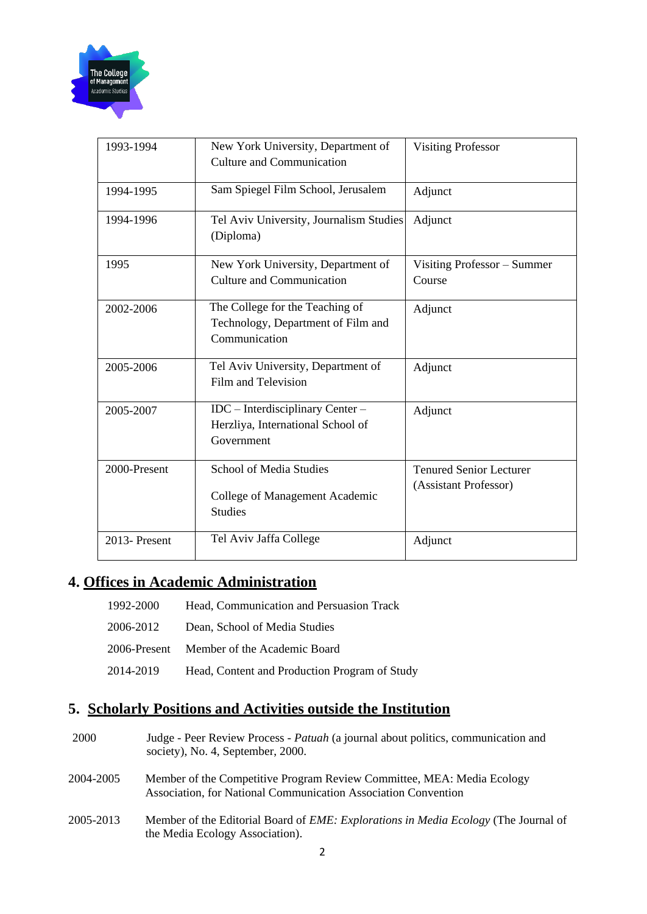

| 1993-1994    | New York University, Department of<br><b>Culture and Communication</b>                 | <b>Visiting Professor</b>                               |
|--------------|----------------------------------------------------------------------------------------|---------------------------------------------------------|
| 1994-1995    | Sam Spiegel Film School, Jerusalem                                                     | Adjunct                                                 |
| 1994-1996    | Tel Aviv University, Journalism Studies<br>(Diploma)                                   | Adjunct                                                 |
| 1995         | New York University, Department of<br><b>Culture and Communication</b>                 | Visiting Professor - Summer<br>Course                   |
| 2002-2006    | The College for the Teaching of<br>Technology, Department of Film and<br>Communication | Adjunct                                                 |
| 2005-2006    | Tel Aviv University, Department of<br>Film and Television                              | Adjunct                                                 |
| 2005-2007    | IDC - Interdisciplinary Center -<br>Herzliya, International School of<br>Government    | Adjunct                                                 |
| 2000-Present | School of Media Studies<br>College of Management Academic<br><b>Studies</b>            | <b>Tenured Senior Lecturer</b><br>(Assistant Professor) |
| 2013-Present | Tel Aviv Jaffa College                                                                 | Adjunct                                                 |

## **4. Offices in Academic Administration**

| 1992-2000 | Head, Communication and Persuasion Track      |
|-----------|-----------------------------------------------|
| 2006-2012 | Dean, School of Media Studies                 |
|           | 2006-Present Member of the Academic Board     |
| 2014-2019 | Head, Content and Production Program of Study |

## **5. Scholarly Positions and Activities outside the Institution**

- 2000 Judge Peer Review Process *Patuah* (a journal about politics, communication and society), No. 4, September, 2000.
- 2004-2005 Member of the Competitive Program Review Committee, MEA: Media Ecology Association, for National Communication Association Convention
- 2005-2013 Member of the Editorial Board of *EME: Explorations in Media Ecology* (The Journal of the Media Ecology Association).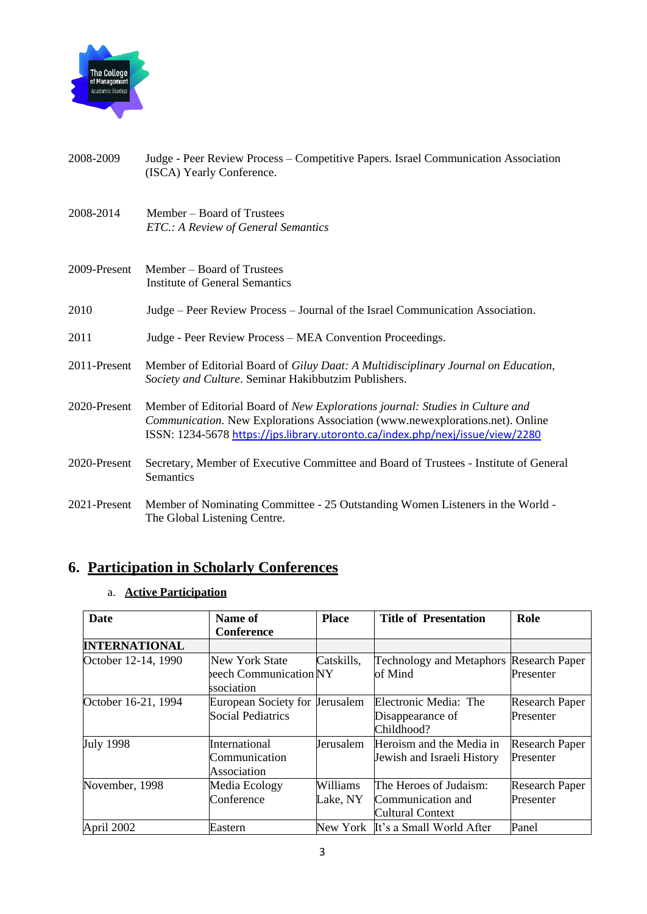

- 2008-2009 Judge Peer Review Process Competitive Papers. Israel Communication Association (ISCA) Yearly Conference.
- 2008**-**2014 Member Board of Trustees *ETC.: A Review of General Semantics*
- 2009-Present Member Board of Trustees Institute of General Semantics
- 2010 Judge Peer Review Process Journal of the Israel Communication Association.
- 2011 Judge Peer Review Process MEA Convention Proceedings.
- 2011-Present Member of Editorial Board of *Giluy Daat: A Multidisciplinary Journal on Education, Society and Culture*. Seminar Hakibbutzim Publishers.
- 2020-Present Member of Editorial Board of *New Explorations journal: Studies in Culture and Communication.* New Explorations Association [\(www.newexplorations.net\).](https://www.newexplorations.ca/) Online ISSN: 1234-567[8](https://jps.library.utoronto.ca/index.php/nexj/issue/view/2280) <https://jps.library.utoronto.ca/index.php/nexj/issue/view/2280>
- 2020-Present Secretary, Member of Executive Committee and Board of Trustees Institute of General **Semantics**
- 2021-Present Member of Nominating Committee 25 Outstanding Women Listeners in the World The Global Listening Centre.

## **6. Participation in Scholarly Conferences**

#### a. **Active Participation**

| Date                 | Name of                        | <b>Place</b>     | <b>Title of Presentation</b>                   | Role                  |
|----------------------|--------------------------------|------------------|------------------------------------------------|-----------------------|
|                      | <b>Conference</b>              |                  |                                                |                       |
| <b>INTERNATIONAL</b> |                                |                  |                                                |                       |
| October 12-14, 1990  | New York State                 | Catskills,       | <b>Technology and Metaphors Research Paper</b> |                       |
|                      | beech Communication NY         |                  | of Mind                                        | Presenter             |
|                      | ssociation                     |                  |                                                |                       |
| October 16-21, 1994  | European Society for Jerusalem |                  | Electronic Media: The                          | <b>Research Paper</b> |
|                      | <b>Social Pediatrics</b>       |                  | Disappearance of                               | Presenter             |
|                      |                                |                  | Childhood?                                     |                       |
| <b>July 1998</b>     | <b>International</b>           | <b>Jerusalem</b> | Heroism and the Media in                       | <b>Research Paper</b> |
|                      | Communication                  |                  | Jewish and Israeli History                     | Presenter             |
|                      | Association                    |                  |                                                |                       |
| November, 1998       | Media Ecology                  | Williams         | The Heroes of Judaism:                         | <b>Research Paper</b> |
|                      | Conference                     | Lake, NY         | Communication and                              | Presenter             |
|                      |                                |                  | <b>Cultural Context</b>                        |                       |
| April 2002           | Eastern                        |                  | New York It's a Small World After              | Panel                 |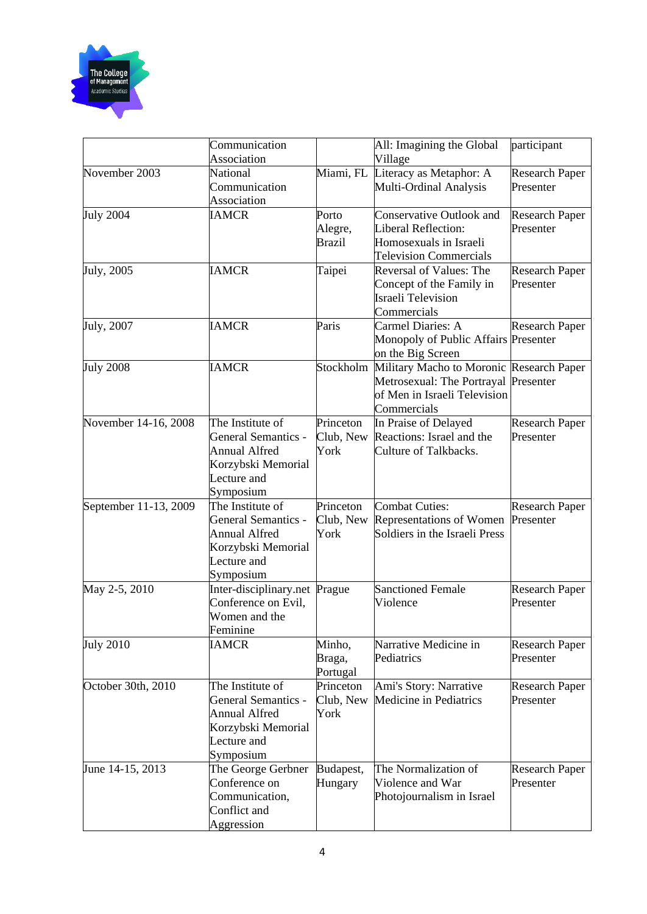

|                       | Communication<br>Association                                                                                             |                                   | All: Imagining the Global<br>Village                                                                                            | participant                        |
|-----------------------|--------------------------------------------------------------------------------------------------------------------------|-----------------------------------|---------------------------------------------------------------------------------------------------------------------------------|------------------------------------|
| November 2003         | National<br>Communication<br>Association                                                                                 | Miami, FL                         | Literacy as Metaphor: A<br>Multi-Ordinal Analysis                                                                               | <b>Research Paper</b><br>Presenter |
| <b>July 2004</b>      | <b>IAMCR</b>                                                                                                             | Porto<br>Alegre,<br><b>Brazil</b> | <b>Conservative Outlook and</b><br>Liberal Reflection:<br>Homosexuals in Israeli<br><b>Television Commercials</b>               | <b>Research Paper</b><br>Presenter |
| July, 2005            | <b>IAMCR</b>                                                                                                             | Taipei                            | Reversal of Values: The<br>Concept of the Family in<br><b>Israeli Television</b><br>Commercials                                 | <b>Research Paper</b><br>Presenter |
| July, 2007            | <b>IAMCR</b>                                                                                                             | Paris                             | Carmel Diaries: A<br>Monopoly of Public Affairs Presenter<br>on the Big Screen                                                  | <b>Research Paper</b>              |
| <b>July 2008</b>      | <b>IAMCR</b>                                                                                                             | Stockholm                         | Military Macho to Moronic Research Paper<br>Metrosexual: The Portrayal Presenter<br>of Men in Israeli Television<br>Commercials |                                    |
| November 14-16, 2008  | The Institute of<br>General Semantics -<br><b>Annual Alfred</b><br>Korzybski Memorial<br>Lecture and<br>Symposium        | Princeton<br>Club, New<br>York    | In Praise of Delayed<br>Reactions: Israel and the<br>Culture of Talkbacks.                                                      | <b>Research Paper</b><br>Presenter |
| September 11-13, 2009 | The Institute of<br><b>General Semantics -</b><br><b>Annual Alfred</b><br>Korzybski Memorial<br>Lecture and<br>Symposium | Princeton<br>Club, New<br>York    | <b>Combat Cuties:</b><br><b>Representations of Women</b><br>Soldiers in the Israeli Press                                       | <b>Research Paper</b><br>Presenter |
| May 2-5, 2010         | Inter-disciplinary.net Prague<br>Conference on Evil,<br>Women and the<br>Feminine                                        |                                   | <b>Sanctioned Female</b><br>Violence                                                                                            | <b>Research Paper</b><br>Presenter |
| <b>July 2010</b>      | <b>IAMCR</b>                                                                                                             | Minho,<br>Braga,<br>Portugal      | Narrative Medicine in<br>Pediatrics                                                                                             | <b>Research Paper</b><br>Presenter |
| October 30th, 2010    | The Institute of<br><b>General Semantics -</b><br><b>Annual Alfred</b><br>Korzybski Memorial<br>Lecture and<br>Symposium | Princeton<br>Club, New<br>York    | Ami's Story: Narrative<br>Medicine in Pediatrics                                                                                | <b>Research Paper</b><br>Presenter |
| June 14-15, 2013      | The George Gerbner<br>Conference on<br>Communication,<br>Conflict and<br>Aggression                                      | Budapest,<br>Hungary              | The Normalization of<br>Violence and War<br>Photojournalism in Israel                                                           | <b>Research Paper</b><br>Presenter |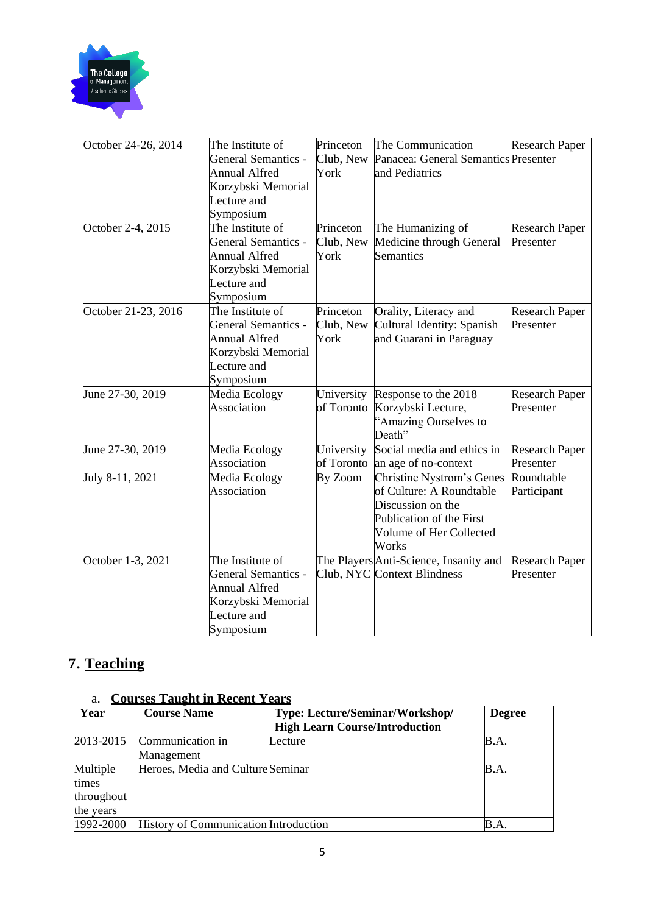

| October 24-26, 2014 | The Institute of<br><b>General Semantics -</b><br><b>Annual Alfred</b><br>Korzybski Memorial<br>Lecture and<br>Symposium | Princeton<br>Club, New<br>York | The Communication<br>Panacea: General Semantics Presenter<br>and Pediatrics                                                                       | <b>Research Paper</b>              |
|---------------------|--------------------------------------------------------------------------------------------------------------------------|--------------------------------|---------------------------------------------------------------------------------------------------------------------------------------------------|------------------------------------|
| October 2-4, 2015   | The Institute of<br><b>General Semantics -</b><br><b>Annual Alfred</b><br>Korzybski Memorial<br>Lecture and<br>Symposium | Princeton<br>Club, New<br>York | The Humanizing of<br>Medicine through General<br>Semantics                                                                                        | <b>Research Paper</b><br>Presenter |
| October 21-23, 2016 | The Institute of<br><b>General Semantics -</b><br><b>Annual Alfred</b><br>Korzybski Memorial<br>Lecture and<br>Symposium | Princeton<br>Club, New<br>York | Orality, Literacy and<br>Cultural Identity: Spanish<br>and Guarani in Paraguay                                                                    | <b>Research Paper</b><br>Presenter |
| June 27-30, 2019    | Media Ecology<br>Association                                                                                             | University<br>of Toronto       | Response to the 2018<br>Korzybski Lecture,<br>"Amazing Ourselves to<br>Death"                                                                     | <b>Research Paper</b><br>Presenter |
| June 27-30, 2019    | Media Ecology<br>Association                                                                                             | University<br>of Toronto       | Social media and ethics in<br>an age of no-context                                                                                                | <b>Research Paper</b><br>Presenter |
| July 8-11, 2021     | Media Ecology<br>Association                                                                                             | By Zoom                        | <b>Christine Nystrom's Genes</b><br>of Culture: A Roundtable<br>Discussion on the<br>Publication of the First<br>Volume of Her Collected<br>Works | Roundtable<br>Participant          |
| October 1-3, 2021   | The Institute of<br><b>General Semantics -</b><br><b>Annual Alfred</b><br>Korzybski Memorial<br>Lecture and<br>Symposium |                                | The Players Anti-Science, Insanity and<br>Club, NYC Context Blindness                                                                             | <b>Research Paper</b><br>Presenter |

# **7. Teaching**

## a. **Courses Taught in Recent Years**

| a.         | <u>Courses Taught in Recent Years</u>        |                                       |               |
|------------|----------------------------------------------|---------------------------------------|---------------|
| Year       | <b>Course Name</b>                           | Type: Lecture/Seminar/Workshop/       | <b>Degree</b> |
|            |                                              | <b>High Learn Course/Introduction</b> |               |
| 2013-2015  | Communication in                             | Lecture                               | B.A.          |
|            | Management                                   |                                       |               |
| Multiple   | Heroes, Media and Culture Seminar            |                                       | B.A.          |
| times      |                                              |                                       |               |
| throughout |                                              |                                       |               |
| the years  |                                              |                                       |               |
| 1992-2000  | <b>History of Communication Introduction</b> |                                       | B.A.          |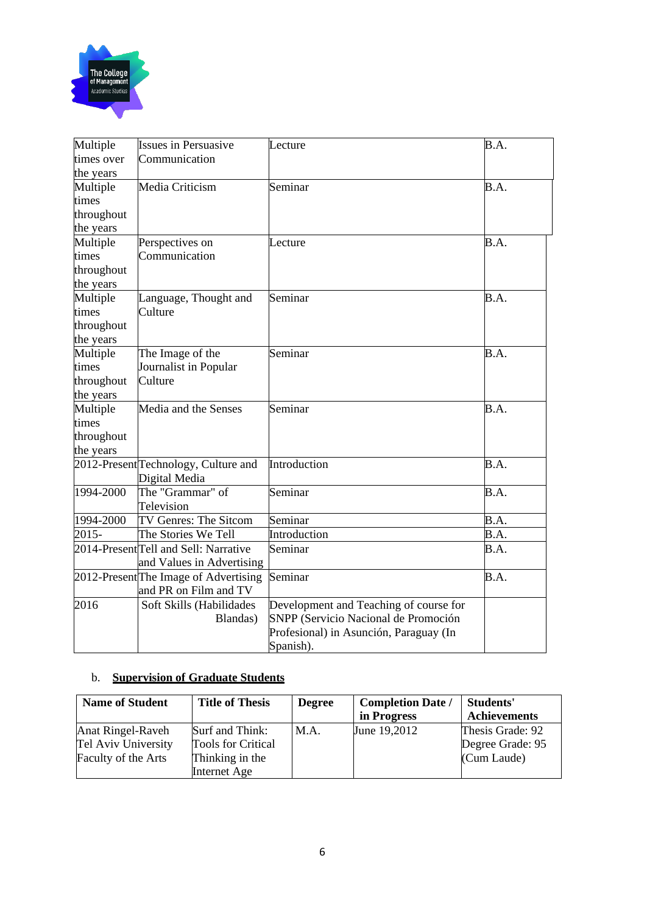

| Multiple   | <b>Issues in Persuasive</b>                      | Lecture                                | B.A. |
|------------|--------------------------------------------------|----------------------------------------|------|
| times over | Communication                                    |                                        |      |
| the years  |                                                  |                                        |      |
| Multiple   | Media Criticism                                  | Seminar                                | B.A. |
| times      |                                                  |                                        |      |
| throughout |                                                  |                                        |      |
| the years  |                                                  |                                        |      |
| Multiple   | Perspectives on                                  | Lecture                                | B.A. |
| times      | Communication                                    |                                        |      |
| throughout |                                                  |                                        |      |
| the years  |                                                  |                                        |      |
| Multiple   | Language, Thought and                            | Seminar                                | B.A. |
| times      | Culture                                          |                                        |      |
| throughout |                                                  |                                        |      |
| the years  |                                                  |                                        |      |
| Multiple   | The Image of the                                 | Seminar                                | B.A. |
| times      | Journalist in Popular                            |                                        |      |
| throughout | Culture                                          |                                        |      |
| the years  |                                                  |                                        |      |
| Multiple   | Media and the Senses                             | Seminar                                | B.A. |
| times      |                                                  |                                        |      |
| throughout |                                                  |                                        |      |
| the years  |                                                  |                                        |      |
|            | 2012-Present Technology, Culture and             | Introduction                           | B.A. |
|            | Digital Media                                    |                                        |      |
| 1994-2000  | The "Grammar" of                                 | Seminar                                | B.A. |
|            | Television                                       |                                        |      |
| 1994-2000  | TV Genres: The Sitcom                            | Seminar                                | B.A. |
| 2015-      | The Stories We Tell                              | Introduction                           | B.A. |
|            | 2014-Present <sub>Tell</sub> and Sell: Narrative | Seminar                                | B.A. |
|            | and Values in Advertising                        |                                        |      |
|            | 2012-Present The Image of Advertising            | Seminar                                | B.A. |
|            | and PR on Film and TV                            |                                        |      |
| 2016       | Soft Skills (Habilidades                         | Development and Teaching of course for |      |
|            | Blandas)                                         | SNPP (Servicio Nacional de Promoción   |      |
|            |                                                  | Profesional) in Asunción, Paraguay (In |      |
|            |                                                  | Spanish).                              |      |

#### b. **Supervision of Graduate Students**

| <b>Name of Student</b>   | <b>Title of Thesis</b>    | <b>Degree</b> | <b>Completion Date /</b> | Students'           |
|--------------------------|---------------------------|---------------|--------------------------|---------------------|
|                          |                           |               | in Progress              | <b>Achievements</b> |
| <b>Anat Ringel-Raveh</b> | Surf and Think:           | M.A.          | June 19,2012             | Thesis Grade: 92    |
| Tel Aviv University      | <b>Tools for Critical</b> |               |                          | Degree Grade: 95    |
| Faculty of the Arts      | Thinking in the           |               |                          | (Cum Laude)         |
|                          | Internet Age              |               |                          |                     |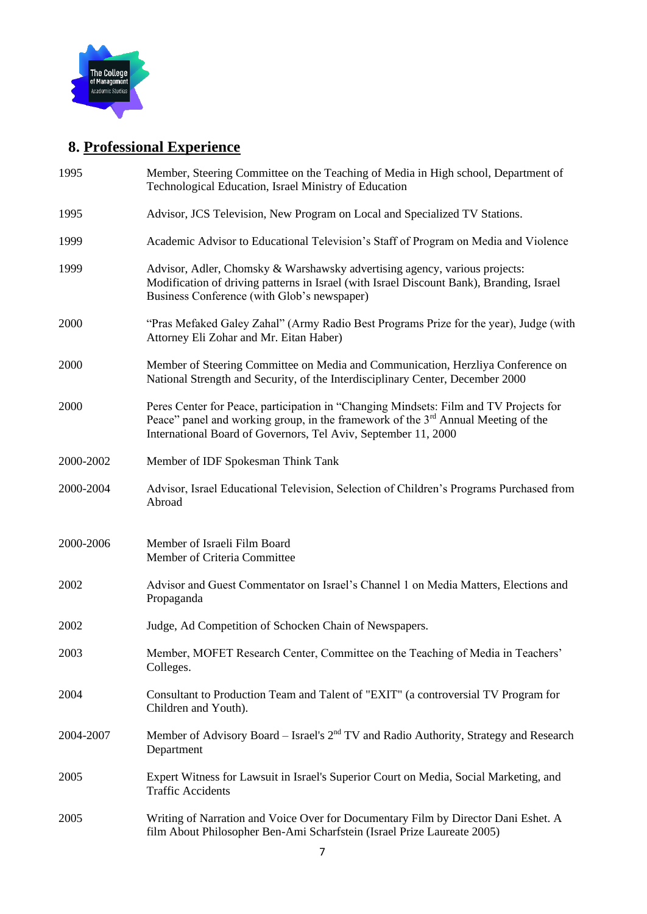

# **8. Professional Experience**

| Member, Steering Committee on the Teaching of Media in High school, Department of<br>Technological Education, Israel Ministry of Education                                                                                                               |
|----------------------------------------------------------------------------------------------------------------------------------------------------------------------------------------------------------------------------------------------------------|
| Advisor, JCS Television, New Program on Local and Specialized TV Stations.                                                                                                                                                                               |
| Academic Advisor to Educational Television's Staff of Program on Media and Violence                                                                                                                                                                      |
| Advisor, Adler, Chomsky & Warshawsky advertising agency, various projects:<br>Modification of driving patterns in Israel (with Israel Discount Bank), Branding, Israel<br>Business Conference (with Glob's newspaper)                                    |
| "Pras Mefaked Galey Zahal" (Army Radio Best Programs Prize for the year), Judge (with<br>Attorney Eli Zohar and Mr. Eitan Haber)                                                                                                                         |
| Member of Steering Committee on Media and Communication, Herzliya Conference on<br>National Strength and Security, of the Interdisciplinary Center, December 2000                                                                                        |
| Peres Center for Peace, participation in "Changing Mindsets: Film and TV Projects for<br>Peace" panel and working group, in the framework of the 3 <sup>rd</sup> Annual Meeting of the<br>International Board of Governors, Tel Aviv, September 11, 2000 |
| Member of IDF Spokesman Think Tank                                                                                                                                                                                                                       |
| Advisor, Israel Educational Television, Selection of Children's Programs Purchased from<br>Abroad                                                                                                                                                        |
| Member of Israeli Film Board<br>Member of Criteria Committee                                                                                                                                                                                             |
| Advisor and Guest Commentator on Israel's Channel 1 on Media Matters, Elections and<br>Propaganda                                                                                                                                                        |
| Judge, Ad Competition of Schocken Chain of Newspapers.                                                                                                                                                                                                   |
| Member, MOFET Research Center, Committee on the Teaching of Media in Teachers'                                                                                                                                                                           |
| Colleges.                                                                                                                                                                                                                                                |
| Consultant to Production Team and Talent of "EXIT" (a controversial TV Program for<br>Children and Youth).                                                                                                                                               |
| Member of Advisory Board – Israel's $2nd TV$ and Radio Authority, Strategy and Research<br>Department                                                                                                                                                    |
| Expert Witness for Lawsuit in Israel's Superior Court on Media, Social Marketing, and<br><b>Traffic Accidents</b>                                                                                                                                        |
|                                                                                                                                                                                                                                                          |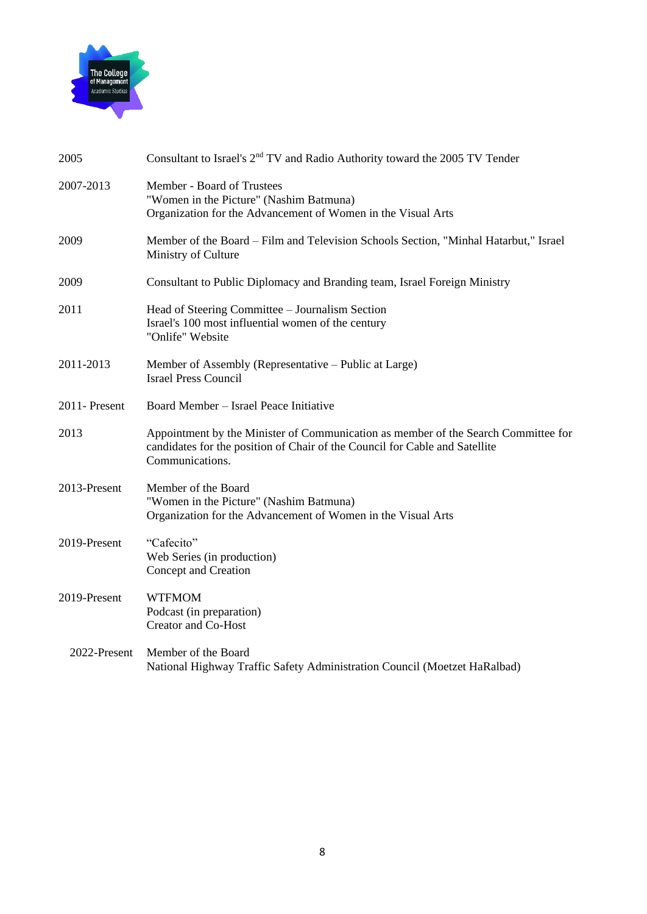

| 2005         | Consultant to Israel's 2 <sup>nd</sup> TV and Radio Authority toward the 2005 TV Tender                                                                                              |
|--------------|--------------------------------------------------------------------------------------------------------------------------------------------------------------------------------------|
| 2007-2013    | Member - Board of Trustees<br>"Women in the Picture" (Nashim Batmuna)<br>Organization for the Advancement of Women in the Visual Arts                                                |
| 2009         | Member of the Board – Film and Television Schools Section, "Minhal Hatarbut," Israel<br>Ministry of Culture                                                                          |
| 2009         | Consultant to Public Diplomacy and Branding team, Israel Foreign Ministry                                                                                                            |
| 2011         | Head of Steering Committee – Journalism Section<br>Israel's 100 most influential women of the century<br>"Onlife" Website                                                            |
| 2011-2013    | Member of Assembly (Representative – Public at Large)<br><b>Israel Press Council</b>                                                                                                 |
| 2011-Present | Board Member - Israel Peace Initiative                                                                                                                                               |
| 2013         | Appointment by the Minister of Communication as member of the Search Committee for<br>candidates for the position of Chair of the Council for Cable and Satellite<br>Communications. |
| 2013-Present | Member of the Board<br>"Women in the Picture" (Nashim Batmuna)<br>Organization for the Advancement of Women in the Visual Arts                                                       |
| 2019-Present | "Cafecito"<br>Web Series (in production)<br>Concept and Creation                                                                                                                     |
| 2019-Present | <b>WTFMOM</b><br>Podcast (in preparation)<br><b>Creator and Co-Host</b>                                                                                                              |
| 2022-Present | Member of the Board<br>National Highway Traffic Safety Administration Council (Moetzet HaRalbad)                                                                                     |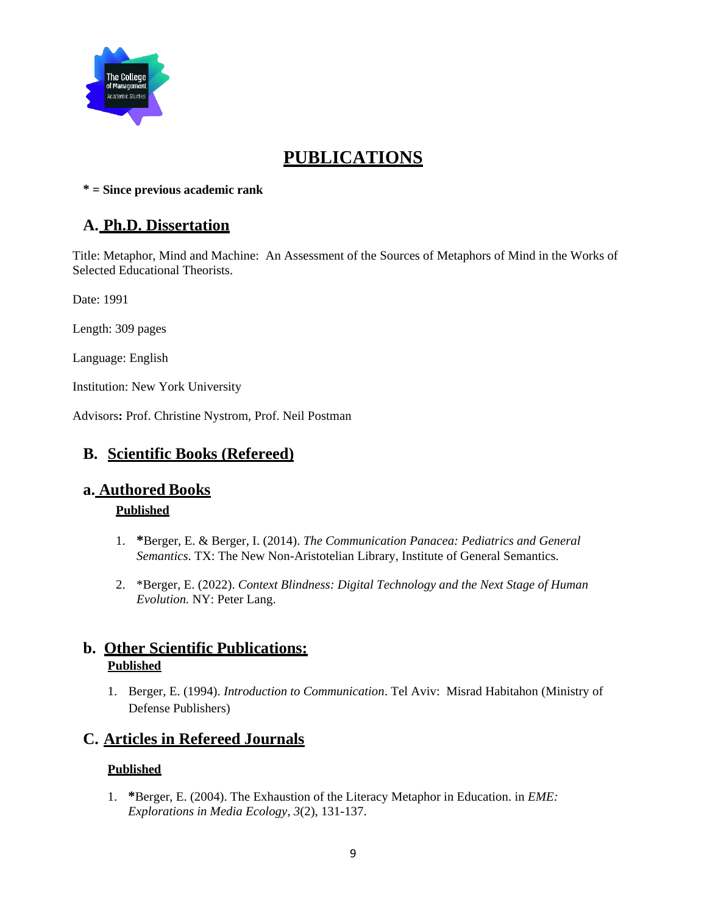

# **PUBLICATIONS**

**\* = Since previous academic rank**

## **A. Ph.D. Dissertation**

Title: Metaphor, Mind and Machine: An Assessment of the Sources of Metaphors of Mind in the Works of Selected Educational Theorists.

Date: 1991

Length: 309 pages

Language: English

Institution: New York University

Advisors**:** Prof. Christine Nystrom, Prof. Neil Postman

## **B. Scientific Books (Refereed)**

## **a. Authored Books**

#### **Published**

- 1. **\***Berger, E. & Berger, I. (2014). *The Communication Panacea: Pediatrics and General Semantics*. TX: The New Non-Aristotelian Library, Institute of General Semantics.
- 2. \*Berger, E. (2022). *Context Blindness: Digital Technology and the Next Stage of Human Evolution.* NY: Peter Lang.

## **b. Other Scientific Publications: Published**

1. Berger, E. (1994). *Introduction to Communication*. Tel Aviv: Misrad Habitahon (Ministry of Defense Publishers)

## **C. Articles in Refereed Journals**

#### **Published**

1. **\***Berger, E. (2004). The Exhaustion of the Literacy Metaphor in Education. in *EME: Explorations in Media Ecology*, *3*(2), 131-137.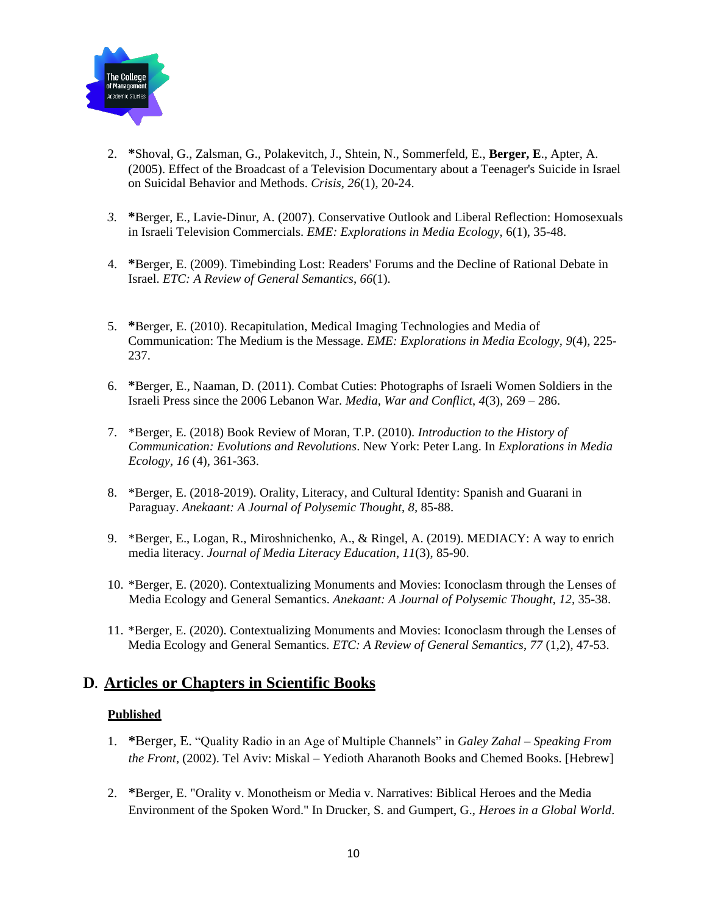

- 2. **\***Shoval, G., Zalsman, G., Polakevitch, J., Shtein, N., Sommerfeld, E., **Berger, E**., Apter, A. (2005). Effect of the Broadcast of a Television Documentary about a Teenager's Suicide in Israel on Suicidal Behavior and Methods. *Crisis, 26*(1), 20-24.
- *3.* **\***Berger, E., Lavie-Dinur, A. (2007). Conservative Outlook and Liberal Reflection: Homosexuals in Israeli Television Commercials. *EME: Explorations in Media Ecology,* 6(1), 35-48.
- 4. **\***Berger, E. (2009). Timebinding Lost: Readers' Forums and the Decline of Rational Debate in Israel. *ETC: A Review of General Semantics*, *66*(1).
- 5. **\***Berger, E. (2010). Recapitulation, Medical Imaging Technologies and Media of Communication: The Medium is the Message. *EME: Explorations in Media Ecology, 9*(4), 225- 237.
- 6. **\***Berger, E., Naaman, D. (2011). Combat Cuties: Photographs of Israeli Women Soldiers in the Israeli Press since the 2006 Lebanon War. *Media, War and Conflict*, *4*(3), 269 – 286.
- 7. \*Berger, E. (2018) Book Review of Moran, T.P. (2010). *Introduction to the History of Communication: Evolutions and Revolutions*. New York: Peter Lang. In *Explorations in Media Ecology, 16* (4), 361-363.
- 8. \*Berger, E. (2018-2019). Orality, Literacy, and Cultural Identity: Spanish and Guarani in Paraguay. *Anekaant: A Journal of Polysemic Thought*, *8,* 85-88.
- 9. \*Berger, E., Logan, R., Miroshnichenko, A., & Ringel, A. (2019). MEDIACY: A way to enrich media literacy. *Journal of Media Literacy Education*, *11*(3), 85-90.
- 10. \*Berger, E. (2020). Contextualizing Monuments and Movies: Iconoclasm through the Lenses of Media Ecology and General Semantics. *Anekaant: A Journal of Polysemic Thought*, *12,* 35-38.
- 11. \*Berger, E. (2020). Contextualizing Monuments and Movies: Iconoclasm through the Lenses of Media Ecology and General Semantics. *ETC: A Review of General Semantics*, *77* (1,2), 47-53.

### **D. Articles or Chapters in Scientific Books**

#### **Published**

- 1. **\***Berger, E. "Quality Radio in an Age of Multiple Channels" in *Galey Zahal – Speaking From the Front*, (2002). Tel Aviv: Miskal – Yedioth Aharanoth Books and Chemed Books. [Hebrew]
- 2. **\***Berger, E. "Orality v. Monotheism or Media v. Narratives: Biblical Heroes and the Media Environment of the Spoken Word." In Drucker, S. and Gumpert, G., *Heroes in a Global World*.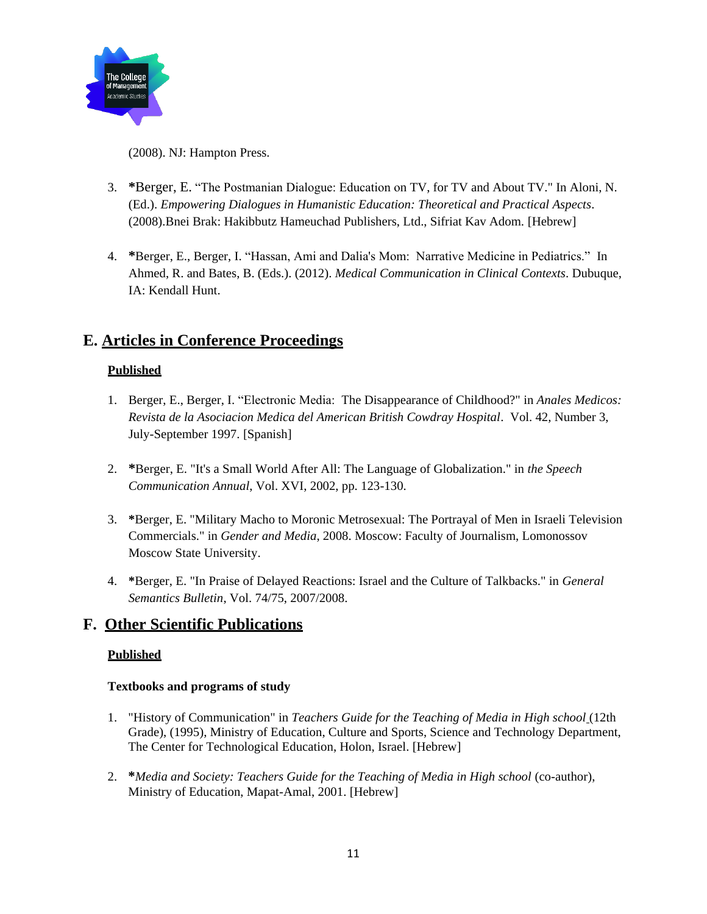

(2008). NJ: Hampton Press.

- 3. **\***Berger, E. "The Postmanian Dialogue: Education on TV, for TV and About TV." In Aloni, N. (Ed.). *Empowering Dialogues in Humanistic Education: Theoretical and Practical Aspects*. (2008).Bnei Brak: Hakibbutz Hameuchad Publishers, Ltd., Sifriat Kav Adom. [Hebrew]
- 4. **\***Berger, E., Berger, I. "Hassan, Ami and Dalia's Mom: Narrative Medicine in Pediatrics." In Ahmed, R. and Bates, B. (Eds.). (2012). *Medical Communication in Clinical Contexts*. Dubuque, IA: Kendall Hunt.

## **E. Articles in Conference Proceedings**

#### **Published**

- 1. Berger, E., Berger, I. "Electronic Media: The Disappearance of Childhood?" in *Anales Medicos: Revista de la Asociacion Medica del American British Cowdray Hospital*. Vol. 42, Number 3, July-September 1997. [Spanish]
- 2. **\***Berger, E. "It's a Small World After All: The Language of Globalization." in *the Speech Communication Annual*, Vol. XVI, 2002, pp. 123-130.
- 3. **\***Berger, E. "Military Macho to Moronic Metrosexual: The Portrayal of Men in Israeli Television Commercials." in *Gender and Media*, 2008. Moscow: Faculty of Journalism, Lomonossov Moscow State University.
- 4. **\***Berger, E. "In Praise of Delayed Reactions: Israel and the Culture of Talkbacks." in *General Semantics Bulletin*, Vol. 74/75, 2007/2008.

## **F. Other Scientific Publications**

#### **Published**

#### **Textbooks and programs of study**

- 1. "History of Communication" in *Teachers Guide for the Teaching of Media in High school* (12th Grade), (1995), Ministry of Education, Culture and Sports, Science and Technology Department, The Center for Technological Education, Holon, Israel. [Hebrew]
- 2. **\****Media and Society: Teachers Guide for the Teaching of Media in High school* (co-author), Ministry of Education, Mapat-Amal, 2001. [Hebrew]